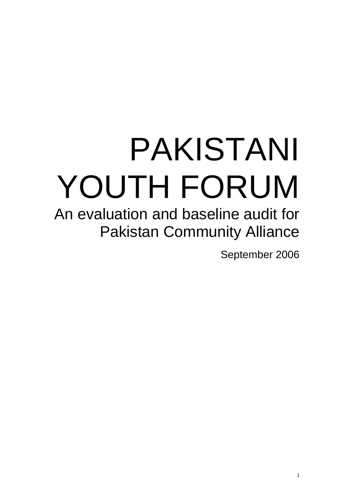# PAKISTANI YOUTH FORUM

An evaluation and baseline audit for Pakistan Community Alliance

September 2006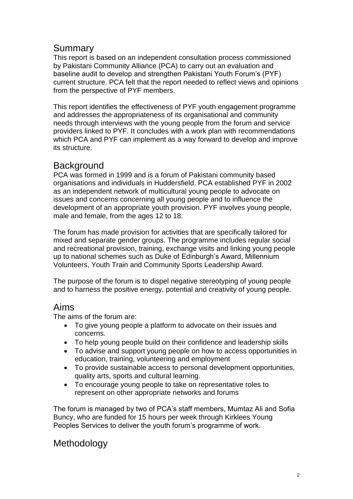## Summary

This report is based on an independent consultation process commissioned by Pakistani Community Alliance (PCA) to carry out an evaluation and baseline audit to develop and strengthen Pakistani Youth Forum's (PYF) current structure. PCA felt that the report needed to reflect views and opinions from the perspective of PYF members.

This report identifies the effectiveness of PYF youth engagement programme and addresses the appropriateness of its organisational and community needs through interviews with the young people from the forum and service providers linked to PYF. It concludes with a work plan with recommendations which PCA and PYF can implement as a way forward to develop and improve its structure.

## **Background**

PCA was formed in 1999 and is a forum of Pakistani community based organisations and individuals in Huddersfield. PCA established PYF in 2002 as an independent network of multicultural young people to advocate on issues and concerns concerning all young people and to influence the development of an appropriate youth provision. PYF involves young people, male and female, from the ages 12 to 18.

The forum has made provision for activities that are specifically tailored for mixed and separate gender groups. The programme includes regular social and recreational provision, training, exchange visits and linking young people up to national schemes such as Duke of Edinburgh's Award, Millennium Volunteers, Youth Train and Community Sports Leadership Award.

The purpose of the forum is to dispel negative stereotyping of young people and to harness the positive energy, potential and creativity of young people.

## Aims

The aims of the forum are:

- To give young people a platform to advocate on their issues and concerns.
- To help young people build on their confidence and leadership skills
- To advise and support young people on how to access opportunities in education, training, volunteering and employment
- To provide sustainable access to personal development opportunities, quality arts, sports and cultural learning.
- To encourage young people to take on representative roles to represent on other appropriate networks and forums

The forum is managed by two of PCA's staff members, Mumtaz Ali and Sofia Buncy, who are funded for 15 hours per week through Kirklees Young Peoples Services to deliver the youth forum's programme of work.

## **Methodology**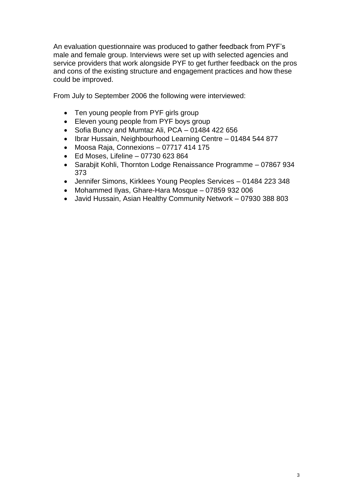An evaluation questionnaire was produced to gather feedback from PYF's male and female group. Interviews were set up with selected agencies and service providers that work alongside PYF to get further feedback on the pros and cons of the existing structure and engagement practices and how these could be improved.

From July to September 2006 the following were interviewed:

- Ten young people from PYF girls group
- Eleven young people from PYF boys group
- Sofia Buncy and Mumtaz Ali, PCA 01484 422 656
- Ibrar Hussain, Neighbourhood Learning Centre 01484 544 877
- Moosa Raja, Connexions 07717 414 175
- $\bullet$  Ed Moses, Lifeline 07730 623 864
- Sarabjit Kohli, Thornton Lodge Renaissance Programme 07867 934 373
- Jennifer Simons, Kirklees Young Peoples Services 01484 223 348
- Mohammed Ilyas, Ghare-Hara Mosque 07859 932 006
- Javid Hussain, Asian Healthy Community Network 07930 388 803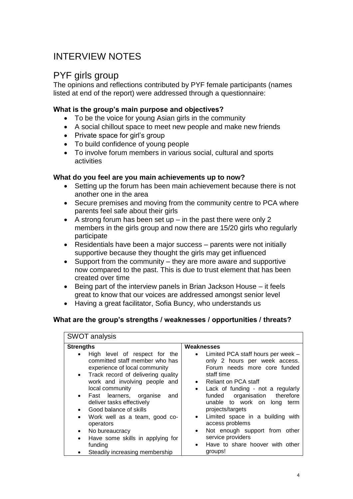# INTERVIEW NOTES

## PYF girls group

The opinions and reflections contributed by PYF female participants (names listed at end of the report) were addressed through a questionnaire:

#### **What is the group's main purpose and objectives?**

- To be the voice for young Asian girls in the community
- A social chillout space to meet new people and make new friends
- Private space for girl's group
- To build confidence of young people
- To involve forum members in various social, cultural and sports activities

#### **What do you feel are you main achievements up to now?**

- Setting up the forum has been main achievement because there is not another one in the area
- Secure premises and moving from the community centre to PCA where parents feel safe about their girls
- A strong forum has been set up  $-$  in the past there were only 2 members in the girls group and now there are 15/20 girls who regularly participate
- Residentials have been a major success parents were not initially supportive because they thought the girls may get influenced
- Support from the community they are more aware and supportive now compared to the past. This is due to trust element that has been created over time
- Being part of the interview panels in Brian Jackson House it feels great to know that our voices are addressed amongst senior level
- Having a great facilitator, Sofia Buncy, who understands us

#### **What are the group's strengths / weaknesses / opportunities / threats?**

| <b>SWOT analysis</b>                                                                                                                                                                                                                                                                                                         |                                                                                                                                                                                                                                                                                 |  |  |
|------------------------------------------------------------------------------------------------------------------------------------------------------------------------------------------------------------------------------------------------------------------------------------------------------------------------------|---------------------------------------------------------------------------------------------------------------------------------------------------------------------------------------------------------------------------------------------------------------------------------|--|--|
| <b>Strengths</b>                                                                                                                                                                                                                                                                                                             | Weaknesses                                                                                                                                                                                                                                                                      |  |  |
| High level of respect for the<br>$\bullet$<br>committed staff member who has<br>experience of local community<br>• Track record of delivering quality<br>work and involving people and<br>local community<br>Fast learners, organise<br>and<br>$\bullet$<br>deliver tasks effectively<br>Good balance of skills<br>$\bullet$ | Limited PCA staff hours per week -<br>only 2 hours per week access.<br>Forum needs more core funded<br>staff time<br>Reliant on PCA staff<br>Lack of funding - not a regularly<br>$\bullet$<br>funded organisation therefore<br>unable to work on long term<br>projects/targets |  |  |
| Work well as a team, good co-<br>$\bullet$<br>operators<br>No bureaucracy<br>$\bullet$<br>Have some skills in applying for<br>$\bullet$<br>funding                                                                                                                                                                           | Limited space in a building with<br>$\bullet$<br>access problems<br>Not enough support from other<br>$\bullet$<br>service providers<br>Have to share hoover with other<br>$\bullet$                                                                                             |  |  |
| Steadily increasing membership                                                                                                                                                                                                                                                                                               | groups!                                                                                                                                                                                                                                                                         |  |  |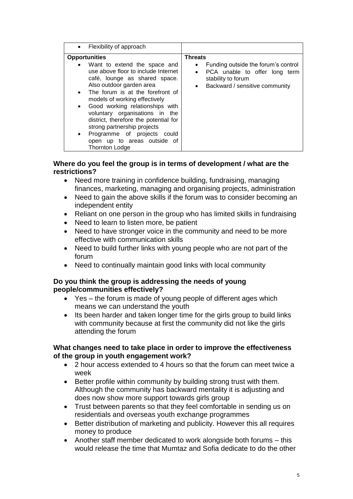| • Flexibility of approach                                                                                                                                                                                                                                                                                                                                                                                                                                                                       |                                                                                                                                                                                       |
|-------------------------------------------------------------------------------------------------------------------------------------------------------------------------------------------------------------------------------------------------------------------------------------------------------------------------------------------------------------------------------------------------------------------------------------------------------------------------------------------------|---------------------------------------------------------------------------------------------------------------------------------------------------------------------------------------|
| <b>Opportunities</b><br>• Want to extend the space and<br>use above floor to include Internet<br>café, lounge as shared space.<br>Also outdoor garden area<br>• The forum is at the forefront of<br>models of working effectively<br>Good working relationships with<br>$\bullet$<br>voluntary organisations in the<br>district, therefore the potential for<br>strong partnership projects<br>Programme of projects could<br>$\bullet$<br>open up to areas outside of<br><b>Thornton Lodge</b> | <b>Threats</b><br>Funding outside the forum's control<br>$\bullet$<br>PCA unable to offer long term<br>$\bullet$<br>stability to forum<br>Backward / sensitive community<br>$\bullet$ |

#### **Where do you feel the group is in terms of development / what are the restrictions?**

- Need more training in confidence building, fundraising, managing finances, marketing, managing and organising projects, administration
- Need to gain the above skills if the forum was to consider becoming an independent entity
- Reliant on one person in the group who has limited skills in fundraising
- Need to learn to listen more, be patient
- Need to have stronger voice in the community and need to be more effective with communication skills
- Need to build further links with young people who are not part of the forum
- Need to continually maintain good links with local community

#### **Do you think the group is addressing the needs of young people/communities effectively?**

- Yes the forum is made of young people of different ages which means we can understand the youth
- Its been harder and taken longer time for the girls group to build links with community because at first the community did not like the girls attending the forum

#### **What changes need to take place in order to improve the effectiveness of the group in youth engagement work?**

- 2 hour access extended to 4 hours so that the forum can meet twice a week
- Better profile within community by building strong trust with them. Although the community has backward mentality it is adjusting and does now show more support towards girls group
- Trust between parents so that they feel comfortable in sending us on residentials and overseas youth exchange programmes
- Better distribution of marketing and publicity. However this all requires money to produce
- Another staff member dedicated to work alongside both forums this would release the time that Mumtaz and Sofia dedicate to do the other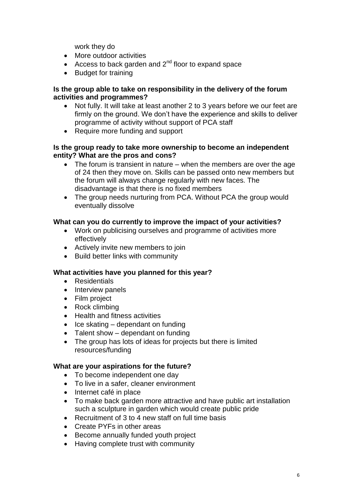work they do

- More outdoor activities
- Access to back garden and  $2^{nd}$  floor to expand space
- Budget for training

#### **Is the group able to take on responsibility in the delivery of the forum activities and programmes?**

- Not fully. It will take at least another 2 to 3 years before we our feet are firmly on the ground. We don't have the experience and skills to deliver programme of activity without support of PCA staff
- Require more funding and support

#### **Is the group ready to take more ownership to become an independent entity? What are the pros and cons?**

- The forum is transient in nature when the members are over the age of 24 then they move on. Skills can be passed onto new members but the forum will always change regularly with new faces. The disadvantage is that there is no fixed members
- The group needs nurturing from PCA. Without PCA the group would eventually dissolve

#### **What can you do currently to improve the impact of your activities?**

- Work on publicising ourselves and programme of activities more effectively
- Actively invite new members to join
- Build better links with community

#### **What activities have you planned for this year?**

- Residentials
- Interview panels
- Film project
- Rock climbing
- Health and fitness activities
- $\bullet$  Ice skating dependant on funding
- $\bullet$  Talent show dependant on funding
- The group has lots of ideas for projects but there is limited resources/funding

#### **What are your aspirations for the future?**

- To become independent one day
- To live in a safer, cleaner environment
- Internet café in place
- To make back garden more attractive and have public art installation such a sculpture in garden which would create public pride
- Recruitment of 3 to 4 new staff on full time basis
- Create PYFs in other areas
- Become annually funded youth project
- Having complete trust with community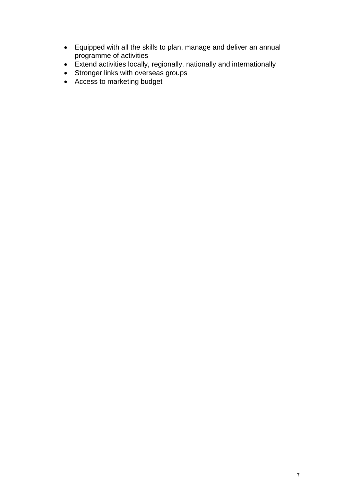- Equipped with all the skills to plan, manage and deliver an annual programme of activities
- Extend activities locally, regionally, nationally and internationally
- Stronger links with overseas groups
- Access to marketing budget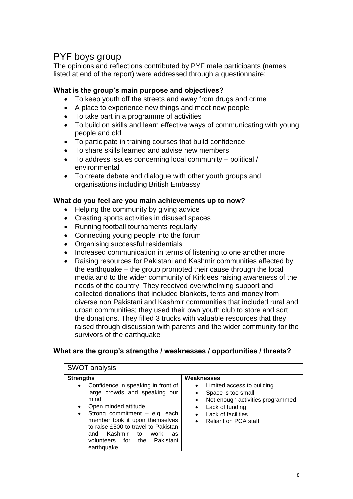# PYF boys group

The opinions and reflections contributed by PYF male participants (names listed at end of the report) were addressed through a questionnaire:

#### **What is the group's main purpose and objectives?**

- To keep youth off the streets and away from drugs and crime
- A place to experience new things and meet new people
- To take part in a programme of activities
- To build on skills and learn effective ways of communicating with young people and old
- To participate in training courses that build confidence
- To share skills learned and advise new members
- To address issues concerning local community political / environmental
- To create debate and dialogue with other youth groups and organisations including British Embassy

#### **What do you feel are you main achievements up to now?**

- Helping the community by giving advice
- Creating sports activities in disused spaces
- Running football tournaments regularly
- Connecting young people into the forum
- Organising successful residentials
- Increased communication in terms of listening to one another more
- Raising resources for Pakistani and Kashmir communities affected by the earthquake  $-$  the group promoted their cause through the local media and to the wider community of Kirklees raising awareness of the needs of the country. They received overwhelming support and collected donations that included blankets, tents and money from diverse non Pakistani and Kashmir communities that included rural and urban communities; they used their own youth club to store and sort the donations. They filled 3 trucks with valuable resources that they raised through discussion with parents and the wider community for the survivors of the earthquake

#### **What are the group's strengths / weaknesses / opportunities / threats?**

| <b>SWOT analysis</b>                                                                                                                                                                                                                                                                                                                                         |                                                                                                                                                                                                                                                  |  |  |
|--------------------------------------------------------------------------------------------------------------------------------------------------------------------------------------------------------------------------------------------------------------------------------------------------------------------------------------------------------------|--------------------------------------------------------------------------------------------------------------------------------------------------------------------------------------------------------------------------------------------------|--|--|
| <b>Strengths</b><br>Confidence in speaking in front of<br>$\bullet$<br>large crowds and speaking our<br>mind<br>Open minded attitude<br>$\bullet$<br>Strong commitment - e.g. each<br>$\bullet$<br>member took it upon themselves<br>to raise £500 to travel to Pakistan<br>Kashmir<br>work<br>and<br>to<br>as<br>volunteers for the Pakistani<br>earthquake | Weaknesses<br>Limited access to building<br>$\bullet$<br>Space is too small<br>٠<br>Not enough activities programmed<br>$\bullet$<br>Lack of funding<br>$\bullet$<br>Lack of facilities<br>$\bullet$<br><b>Reliant on PCA staff</b><br>$\bullet$ |  |  |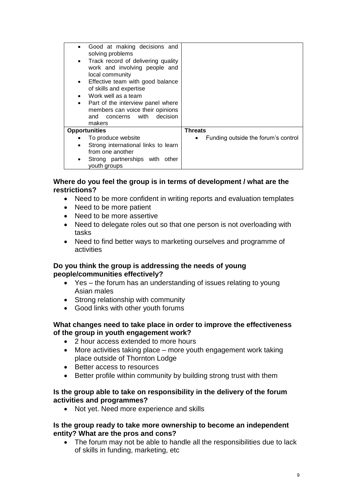| Good at making decisions and                                                                                                                                                                                                                                                 |                                          |
|------------------------------------------------------------------------------------------------------------------------------------------------------------------------------------------------------------------------------------------------------------------------------|------------------------------------------|
| solving problems<br>Track record of delivering quality<br>$\bullet$<br>work and involving people and<br>local community<br>Effective team with good balance<br>$\bullet$<br>of skills and expertise<br>Work well as a team<br>Part of the interview panel where<br>$\bullet$ |                                          |
| members can voice their opinions<br>and concerns with decision<br>makers                                                                                                                                                                                                     |                                          |
| <b>Opportunities</b>                                                                                                                                                                                                                                                         | <b>Threats</b>                           |
| To produce website                                                                                                                                                                                                                                                           | Funding outside the forum's control<br>٠ |
| Strong international links to learn<br>$\bullet$<br>from one another                                                                                                                                                                                                         |                                          |
| Strong partnerships with other<br>youth groups                                                                                                                                                                                                                               |                                          |

#### **Where do you feel the group is in terms of development / what are the restrictions?**

- Need to be more confident in writing reports and evaluation templates
- Need to be more patient
- Need to be more assertive
- Need to delegate roles out so that one person is not overloading with tasks
- Need to find better ways to marketing ourselves and programme of activities

#### **Do you think the group is addressing the needs of young people/communities effectively?**

- Yes the forum has an understanding of issues relating to young Asian males
- Strong relationship with community
- Good links with other youth forums

#### **What changes need to take place in order to improve the effectiveness of the group in youth engagement work?**

- 2 hour access extended to more hours
- More activities taking place more youth engagement work taking place outside of Thornton Lodge
- Better access to resources
- Better profile within community by building strong trust with them

#### **Is the group able to take on responsibility in the delivery of the forum activities and programmes?**

• Not yet. Need more experience and skills

#### **Is the group ready to take more ownership to become an independent entity? What are the pros and cons?**

• The forum may not be able to handle all the responsibilities due to lack of skills in funding, marketing, etc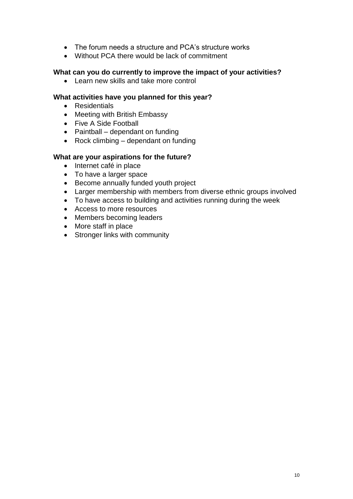- The forum needs a structure and PCA's structure works
- Without PCA there would be lack of commitment

#### **What can you do currently to improve the impact of your activities?**

• Learn new skills and take more control

#### **What activities have you planned for this year?**

- Residentials
- Meeting with British Embassy
- Five A Side Football
- $\bullet$  Paintball dependant on funding
- Rock climbing dependant on funding

#### **What are your aspirations for the future?**

- Internet café in place
- To have a larger space
- Become annually funded youth project
- Larger membership with members from diverse ethnic groups involved
- To have access to building and activities running during the week
- Access to more resources
- Members becoming leaders
- More staff in place
- Stronger links with community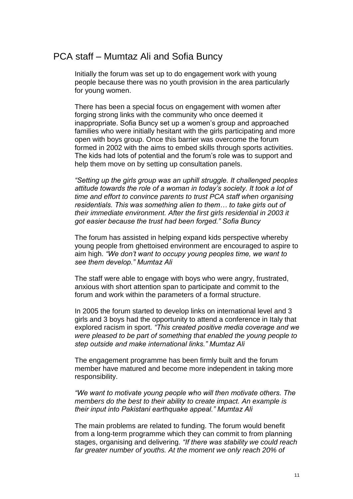## PCA staff – Mumtaz Ali and Sofia Buncy

Initially the forum was set up to do engagement work with young people because there was no youth provision in the area particularly for young women.

There has been a special focus on engagement with women after forging strong links with the community who once deemed it inappropriate. Sofia Buncy set up a women's group and approached families who were initially hesitant with the girls participating and more open with boys group. Once this barrier was overcome the forum formed in 2002 with the aims to embed skills through sports activities. The kids had lots of potential and the forum's role was to support and help them move on by setting up consultation panels.

*"Setting up the girls group was an uphill struggle. It challenged peoples attitude towards the role of a woman in today's society. It took a lot of time and effort to convince parents to trust PCA staff when organising residentials. This was something alien to them… to take girls out of their immediate environment. After the first girls residential in 2003 it got easier because the trust had been forged." Sofia Buncy*

The forum has assisted in helping expand kids perspective whereby young people from ghettoised environment are encouraged to aspire to aim high. *"We don't want to occupy young peoples time, we want to see them develop." Mumtaz Ali*

The staff were able to engage with boys who were angry, frustrated, anxious with short attention span to participate and commit to the forum and work within the parameters of a formal structure.

In 2005 the forum started to develop links on international level and 3 girls and 3 boys had the opportunity to attend a conference in Italy that explored racism in sport. *"This created positive media coverage and we were pleased to be part of something that enabled the young people to step outside and make international links." Mumtaz Ali*

The engagement programme has been firmly built and the forum member have matured and become more independent in taking more responsibility.

*"We want to motivate young people who will then motivate others. The members do the best to their ability to create impact. An example is their input into Pakistani earthquake appeal." Mumtaz Ali*

The main problems are related to funding. The forum would benefit from a long-term programme which they can commit to from planning stages, organising and delivering. *"If there was stability we could reach far greater number of youths. At the moment we only reach 20% of*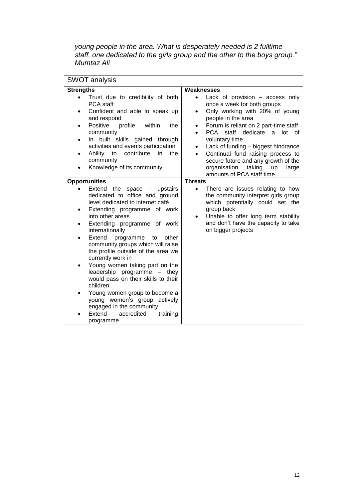*young people in the area. What is desperately needed is 2 fulltime staff, one dedicated to the girls group and the other to the boys group." Mumtaz Ali*

| <b>SWOT analysis</b>                                                                                                                                                                                                                                                                                                                                                                                                                                                                                                                                                                                                                                                                                            |                                                                                                                                                                                                                                                                                                                                                                                                                                                                                 |  |  |
|-----------------------------------------------------------------------------------------------------------------------------------------------------------------------------------------------------------------------------------------------------------------------------------------------------------------------------------------------------------------------------------------------------------------------------------------------------------------------------------------------------------------------------------------------------------------------------------------------------------------------------------------------------------------------------------------------------------------|---------------------------------------------------------------------------------------------------------------------------------------------------------------------------------------------------------------------------------------------------------------------------------------------------------------------------------------------------------------------------------------------------------------------------------------------------------------------------------|--|--|
| <b>Strengths</b>                                                                                                                                                                                                                                                                                                                                                                                                                                                                                                                                                                                                                                                                                                | Weaknesses                                                                                                                                                                                                                                                                                                                                                                                                                                                                      |  |  |
| Trust due to credibility of both<br>$\bullet$<br>PCA staff<br>Confident and able to speak up<br>$\bullet$<br>and respond<br>Positive<br>profile<br>within<br>the<br>٠<br>community<br>In built skills gained through<br>٠<br>activities and events participation<br>Ability<br>contribute<br>in<br>the<br>to<br>$\bullet$<br>community<br>Knowledge of its community<br>$\bullet$                                                                                                                                                                                                                                                                                                                               | Lack of provision - access only<br>$\bullet$<br>once a week for both groups<br>Only working with 20% of young<br>$\bullet$<br>people in the area<br>Forum is reliant on 2 part-time staff<br>$\bullet$<br>PCA staff dedicate a lot of<br>$\bullet$<br>voluntary time<br>Lack of funding - biggest hindrance<br>٠<br>Continual fund raising process to<br>$\bullet$<br>secure future and any growth of the<br>taking<br>organisation<br>up<br>large<br>amounts of PCA staff time |  |  |
| <b>Opportunities</b>                                                                                                                                                                                                                                                                                                                                                                                                                                                                                                                                                                                                                                                                                            | <b>Threats</b>                                                                                                                                                                                                                                                                                                                                                                                                                                                                  |  |  |
| Extend the space<br>upstairs<br>$\bullet$<br>$\qquad \qquad -$<br>dedicated to office and ground<br>level dedicated to internet café<br>Extending programme of work<br>$\bullet$<br>into other areas<br>Extending programme of work<br>$\bullet$<br>internationally<br>Extend<br>programme to<br>other<br>$\bullet$<br>community groups which will raise<br>the profile outside of the area we<br>currently work in<br>Young women taking part on the<br>$\bullet$<br>leadership programme - they<br>would pass on their skills to their<br>children<br>Young women group to become a<br>$\bullet$<br>young women's group actively<br>engaged in the community<br>Extend<br>accredited<br>training<br>programme | $\bullet$<br>There are issues relating to how<br>the community interpret girls group<br>which potentially could set the<br>group back<br>Unable to offer long term stability<br>٠<br>and don't have the capacity to take<br>on bigger projects                                                                                                                                                                                                                                  |  |  |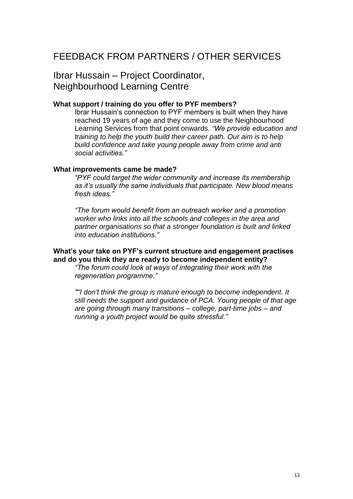# FEEDBACK FROM PARTNERS / OTHER SERVICES

Ibrar Hussain – Project Coordinator, Neighbourhood Learning Centre

#### **What support / training do you offer to PYF members?**

Ibrar Hussain's connection to PYF members is built when they have reached 19 years of age and they come to use the Neighbourhood Learning Services from that point onwards. *"We provide education and training to help the youth build their career path. Our aim is to help build confidence and take young people away from crime and anti social activities."* 

#### **What improvements came be made?**

*"PYF could target the wider community and increase its membership as it's usually the same individuals that participate. New blood means fresh ideas."*

*"The forum would benefit from an outreach worker and a promotion worker who links into all the schools and colleges in the area and partner organisations so that a stronger foundation is built and linked into education institutions."*

#### **What's your take on PYF's current structure and engagement practises and do you think they are ready to become independent entity?**

*"The forum could look at ways of integrating their work with the regeneration programme."*

*""I don't think the group is mature enough to become independent. It still needs the support and guidance of PCA. Young people of that age are going through many transitions – college, part-time jobs – and running a youth project would be quite stressful."*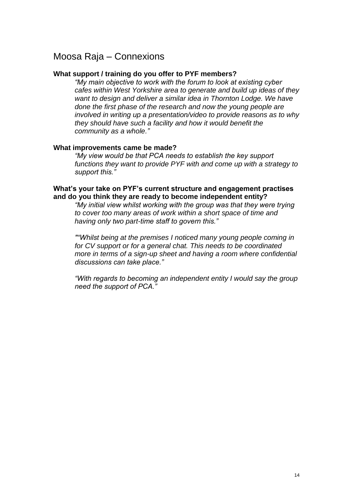## Moosa Raja – Connexions

#### **What support / training do you offer to PYF members?**

*"My main objective to work with the forum to look at existing cyber cafes within West Yorkshire area to generate and build up ideas of they want to design and deliver a similar idea in Thornton Lodge. We have done the first phase of the research and now the young people are involved in writing up a presentation/video to provide reasons as to why they should have such a facility and how it would benefit the community as a whole."* 

#### **What improvements came be made?**

*"My view would be that PCA needs to establish the key support functions they want to provide PYF with and come up with a strategy to support this."*

#### **What's your take on PYF's current structure and engagement practises and do you think they are ready to become independent entity?**

*"My initial view whilst working with the group was that they were trying to cover too many areas of work within a short space of time and having only two part-time staff to govern this."*

*""Whilst being at the premises I noticed many young people coming in for CV support or for a general chat. This needs to be coordinated more in terms of a sign-up sheet and having a room where confidential discussions can take place."*

*"With regards to becoming an independent entity I would say the group need the support of PCA."*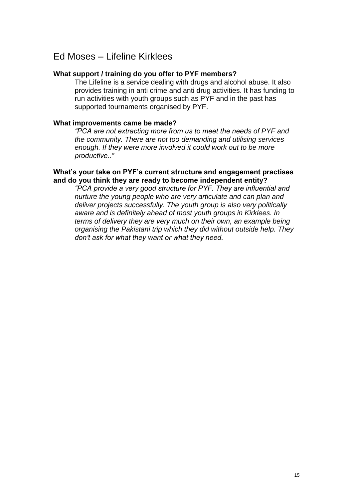## Ed Moses – Lifeline Kirklees

#### **What support / training do you offer to PYF members?**

The Lifeline is a service dealing with drugs and alcohol abuse. It also provides training in anti crime and anti drug activities. It has funding to run activities with youth groups such as PYF and in the past has supported tournaments organised by PYF.

#### **What improvements came be made?**

*"PCA are not extracting more from us to meet the needs of PYF and the community. There are not too demanding and utilising services enough. If they were more involved it could work out to be more productive.."*

#### **What's your take on PYF's current structure and engagement practises and do you think they are ready to become independent entity?**

*"PCA provide a very good structure for PYF. They are influential and nurture the young people who are very articulate and can plan and deliver projects successfully. The youth group is also very politically aware and is definitely ahead of most youth groups in Kirklees. In terms of delivery they are very much on their own, an example being organising the Pakistani trip which they did without outside help. They don't ask for what they want or what they need.*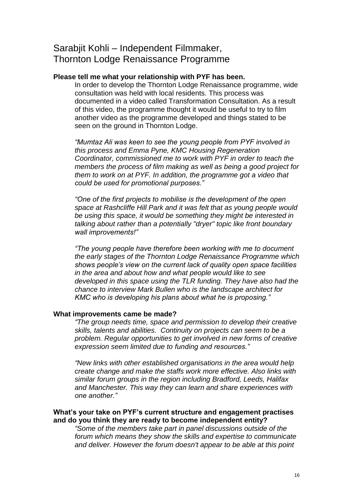## Sarabjit Kohli – Independent Filmmaker, Thornton Lodge Renaissance Programme

#### **Please tell me what your relationship with PYF has been.**

In order to develop the Thornton Lodge Renaissance programme, wide consultation was held with local residents. This process was documented in a video called Transformation Consultation. As a result of this video, the programme thought it would be useful to try to film another video as the programme developed and things stated to be seen on the ground in Thornton Lodge.

*"Mumtaz Ali was keen to see the young people from PYF involved in this process and Emma Pyne, KMC Housing Regeneration Coordinator, commissioned me to work with PYF in order to teach the members the process of film making as well as being a good project for them to work on at PYF. In addition, the programme got a video that could be used for promotional purposes."*

*"One of the first projects to mobilise is the development of the open space at Rashcliffe Hill Park and it was felt that as young people would be using this space, it would be something they might be interested in talking about rather than a potentially "dryer" topic like front boundary wall improvements!"*

*"The young people have therefore been working with me to document the early stages of the Thornton Lodge Renaissance Programme which shows people's view on the current lack of quality open space facilities in the area and about how and what people would like to see developed in this space using the TLR funding. They have also had the chance to interview Mark Bullen who is the landscape architect for KMC who is developing his plans about what he is proposing."*

#### **What improvements came be made?**

*"The group needs time, space and permission to develop their creative skills, talents and abilities. Continuity on projects can seem to be a problem. Regular opportunities to get involved in new forms of creative expression seem limited due to funding and resources."*

*"New links with other established organisations in the area would help create change and make the staffs work more effective. Also links with similar forum groups in the region including Bradford, Leeds, Halifax and Manchester. This way they can learn and share experiences with one another."*

#### **What's your take on PYF's current structure and engagement practises and do you think they are ready to become independent entity?**

*"Some of the members take part in panel discussions outside of the forum which means they show the skills and expertise to communicate and deliver. However the forum doesn't appear to be able at this point*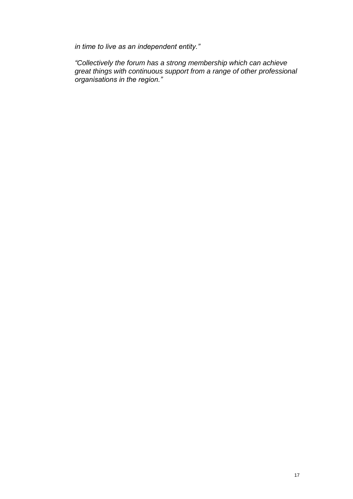*in time to live as an independent entity."*

*"Collectively the forum has a strong membership which can achieve great things with continuous support from a range of other professional organisations in the region."*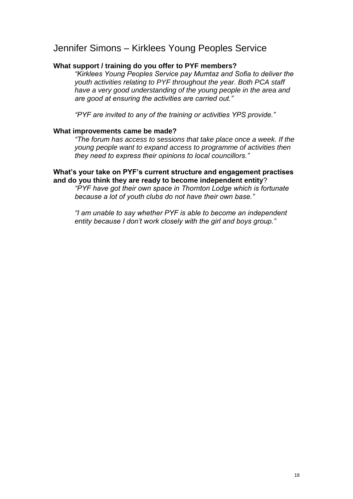## Jennifer Simons – Kirklees Young Peoples Service

#### **What support / training do you offer to PYF members?**

*"Kirklees Young Peoples Service pay Mumtaz and Sofia to deliver the youth activities relating to PYF throughout the year. Both PCA staff have a very good understanding of the young people in the area and are good at ensuring the activities are carried out."*

*"PYF are invited to any of the training or activities YPS provide."*

#### **What improvements came be made?**

*"The forum has access to sessions that take place once a week. If the young people want to expand access to programme of activities then they need to express their opinions to local councillors."*

#### **What's your take on PYF's current structure and engagement practises and do you think they are ready to become independent entity**?

*"PYF have got their own space in Thornton Lodge which is fortunate because a lot of youth clubs do not have their own base."*

*"I am unable to say whether PYF is able to become an independent entity because I don't work closely with the girl and boys group."*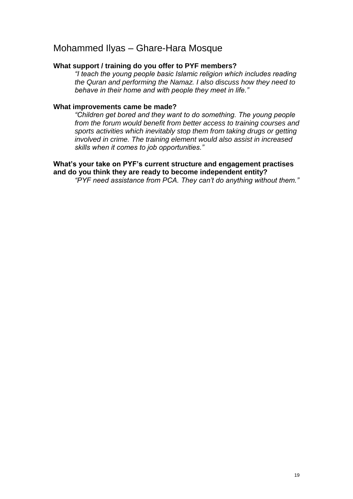## Mohammed Ilyas – Ghare-Hara Mosque

#### **What support / training do you offer to PYF members?**

*"I teach the young people basic Islamic religion which includes reading the Quran and performing the Namaz. I also discuss how they need to behave in their home and with people they meet in life."* 

#### **What improvements came be made?**

*"Children get bored and they want to do something. The young people from the forum would benefit from better access to training courses and sports activities which inevitably stop them from taking drugs or getting involved in crime. The training element would also assist in increased skills when it comes to job opportunities."*

#### **What's your take on PYF's current structure and engagement practises and do you think they are ready to become independent entity?**

*"PYF need assistance from PCA. They can't do anything without them."*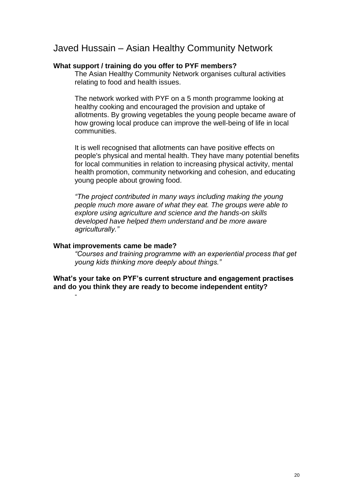## Javed Hussain – Asian Healthy Community Network

#### **What support / training do you offer to PYF members?**

The Asian Healthy Community Network organises cultural activities relating to food and health issues.

The network worked with PYF on a 5 month programme looking at healthy cooking and encouraged the provision and uptake of allotments. By growing vegetables the young people became aware of how growing local produce can improve the well-being of life in local communities.

It is well recognised that allotments can have positive effects on people's physical and mental health. They have many potential benefits for local communities in relation to increasing physical activity, mental health promotion, community networking and cohesion, and educating young people about growing food.

*"The project contributed in many ways including making the young people much more aware of what they eat. The groups were able to explore using agriculture and science and the hands-on skills developed have helped them understand and be more aware agriculturally."*

#### **What improvements came be made?**

-

*"Courses and training programme with an experiential process that get young kids thinking more deeply about things."*

**What's your take on PYF's current structure and engagement practises and do you think they are ready to become independent entity?**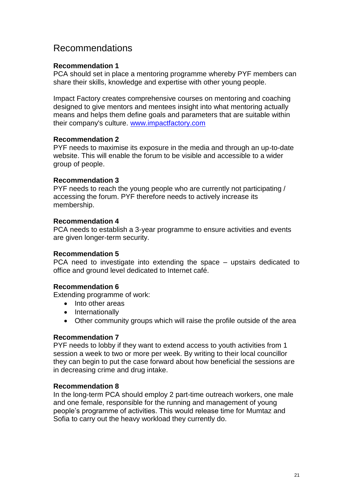## Recommendations

#### **Recommendation 1**

PCA should set in place a mentoring programme whereby PYF members can share their skills, knowledge and expertise with other young people.

Impact Factory creates comprehensive courses on mentoring and coaching designed to give mentors and mentees insight into what mentoring actually means and helps them define goals and parameters that are suitable within their company's culture. [www.impactfactory.com](http://www.impactfactory.com/)

#### **Recommendation 2**

PYF needs to maximise its exposure in the media and through an up-to-date website. This will enable the forum to be visible and accessible to a wider group of people.

#### **Recommendation 3**

PYF needs to reach the young people who are currently not participating / accessing the forum. PYF therefore needs to actively increase its membership.

#### **Recommendation 4**

PCA needs to establish a 3-year programme to ensure activities and events are given longer-term security.

#### **Recommendation 5**

PCA need to investigate into extending the space – upstairs dedicated to office and ground level dedicated to Internet café.

#### **Recommendation 6**

Extending programme of work:

- Into other areas
- Internationally
- Other community groups which will raise the profile outside of the area

#### **Recommendation 7**

PYF needs to lobby if they want to extend access to youth activities from 1 session a week to two or more per week. By writing to their local councillor they can begin to put the case forward about how beneficial the sessions are in decreasing crime and drug intake.

#### **Recommendation 8**

In the long-term PCA should employ 2 part-time outreach workers, one male and one female, responsible for the running and management of young people's programme of activities. This would release time for Mumtaz and Sofia to carry out the heavy workload they currently do.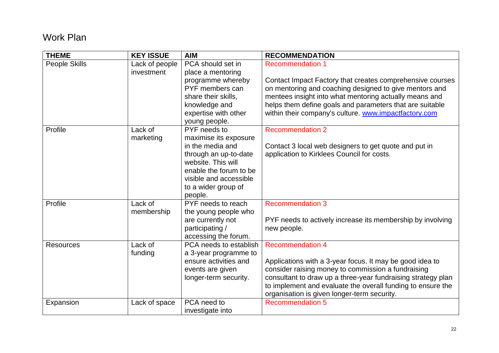# Work Plan

| <b>THEME</b>     | <b>KEY ISSUE</b> | <b>AIM</b>             | <b>RECOMMENDATION</b>                                        |
|------------------|------------------|------------------------|--------------------------------------------------------------|
| People Skills    | Lack of people   | PCA should set in      | <b>Recommendation 1</b>                                      |
|                  | investment       | place a mentoring      |                                                              |
|                  |                  | programme whereby      | Contact Impact Factory that creates comprehensive courses    |
|                  |                  | PYF members can        | on mentoring and coaching designed to give mentors and       |
|                  |                  | share their skills,    | mentees insight into what mentoring actually means and       |
|                  |                  | knowledge and          | helps them define goals and parameters that are suitable     |
|                  |                  | expertise with other   | within their company's culture. www.impactfactory.com        |
|                  |                  | young people.          |                                                              |
| Profile          | Lack of          | PYF needs to           | <b>Recommendation 2</b>                                      |
|                  | marketing        | maximise its exposure  |                                                              |
|                  |                  | in the media and       | Contact 3 local web designers to get quote and put in        |
|                  |                  | through an up-to-date  | application to Kirklees Council for costs.                   |
|                  |                  | website. This will     |                                                              |
|                  |                  | enable the forum to be |                                                              |
|                  |                  | visible and accessible |                                                              |
|                  |                  | to a wider group of    |                                                              |
|                  |                  | people.                |                                                              |
| Profile          | Lack of          | PYF needs to reach     | <b>Recommendation 3</b>                                      |
|                  | membership       | the young people who   |                                                              |
|                  |                  | are currently not      | PYF needs to actively increase its membership by involving   |
|                  |                  | participating/         | new people.                                                  |
|                  |                  | accessing the forum.   |                                                              |
| <b>Resources</b> | Lack of          | PCA needs to establish | <b>Recommendation 4</b>                                      |
|                  | funding          | a 3-year programme to  |                                                              |
|                  |                  | ensure activities and  | Applications with a 3-year focus. It may be good idea to     |
|                  |                  | events are given       | consider raising money to commission a fundraising           |
|                  |                  | longer-term security.  | consultant to draw up a three-year fundraising strategy plan |
|                  |                  |                        | to implement and evaluate the overall funding to ensure the  |
|                  |                  |                        | organisation is given longer-term security.                  |
| Expansion        | Lack of space    | PCA need to            | <b>Recommendation 5</b>                                      |
|                  |                  | investigate into       |                                                              |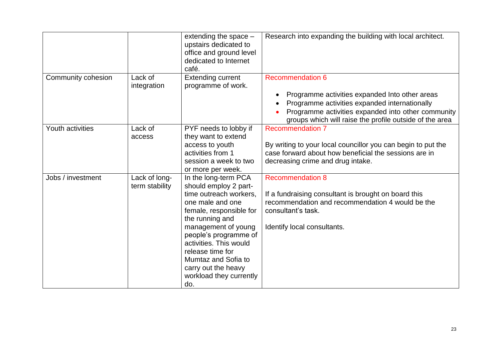|                    |                | extending the space -<br>upstairs dedicated to<br>office and ground level<br>dedicated to Internet<br>café. | Research into expanding the building with local architect.                                                    |
|--------------------|----------------|-------------------------------------------------------------------------------------------------------------|---------------------------------------------------------------------------------------------------------------|
| Community cohesion | Lack of        | <b>Extending current</b>                                                                                    | <b>Recommendation 6</b>                                                                                       |
|                    | integration    | programme of work.                                                                                          |                                                                                                               |
|                    |                |                                                                                                             | Programme activities expanded Into other areas                                                                |
|                    |                |                                                                                                             | Programme activities expanded internationally                                                                 |
|                    |                |                                                                                                             | Programme activities expanded into other community<br>groups which will raise the profile outside of the area |
| Youth activities   | Lack of        | PYF needs to lobby if                                                                                       | <b>Recommendation 7</b>                                                                                       |
|                    | access         | they want to extend                                                                                         |                                                                                                               |
|                    |                | access to youth                                                                                             | By writing to your local councillor you can begin to put the                                                  |
|                    |                | activities from 1                                                                                           | case forward about how beneficial the sessions are in                                                         |
|                    |                | session a week to two                                                                                       | decreasing crime and drug intake.                                                                             |
|                    |                | or more per week.                                                                                           |                                                                                                               |
| Jobs / investment  | Lack of long-  | In the long-term PCA                                                                                        | <b>Recommendation 8</b>                                                                                       |
|                    | term stability | should employ 2 part-                                                                                       |                                                                                                               |
|                    |                | time outreach workers.                                                                                      | If a fundraising consultant is brought on board this                                                          |
|                    |                | one male and one                                                                                            | recommendation and recommendation 4 would be the<br>consultant's task.                                        |
|                    |                | female, responsible for<br>the running and                                                                  |                                                                                                               |
|                    |                | management of young                                                                                         | Identify local consultants.                                                                                   |
|                    |                | people's programme of                                                                                       |                                                                                                               |
|                    |                | activities. This would                                                                                      |                                                                                                               |
|                    |                | release time for                                                                                            |                                                                                                               |
|                    |                | Mumtaz and Sofia to                                                                                         |                                                                                                               |
|                    |                | carry out the heavy                                                                                         |                                                                                                               |
|                    |                | workload they currently                                                                                     |                                                                                                               |
|                    |                | do.                                                                                                         |                                                                                                               |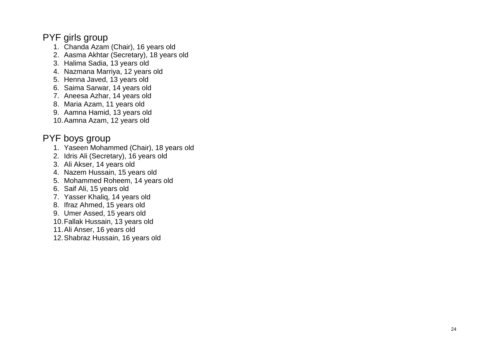# PYF girls group

- 1. Chanda Azam (Chair), 16 years old
- 2. Aasma Akhtar (Secretary), 18 years old
- 3. Halima Sadia, 13 years old
- 4. Nazmana Marriya, 12 years old
- 5. Henna Javed, 13 years old
- 6. Saima Sarwar, 14 years old
- 7. Aneesa Azhar, 14 years old
- 8. Maria Azam, 11 years old
- 9. Aamna Hamid, 13 years old
- 10.Aamna Azam, 12 years old

## PYF boys group

- 1. Yaseen Mohammed (Chair), 18 years old
- 2. Idris Ali (Secretary), 16 years old
- 3. Ali Akser, 14 years old
- 4. Nazem Hussain, 15 years old
- 5. Mohammed Roheem, 14 years old
- 6. Saif Ali, 15 years old
- 7. Yasser Khaliq, 14 years old
- 8. Ifraz Ahmed, 15 years old
- 9. Umer Assed, 15 years old
- 10.Fallak Hussain, 13 years old
- 11.Ali Anser, 16 years old
- 12.Shabraz Hussain, 16 years old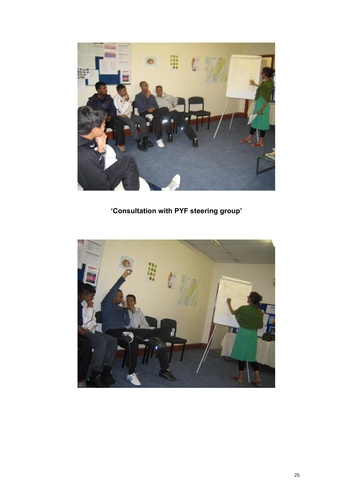

**'Consultation with PYF steering group'**